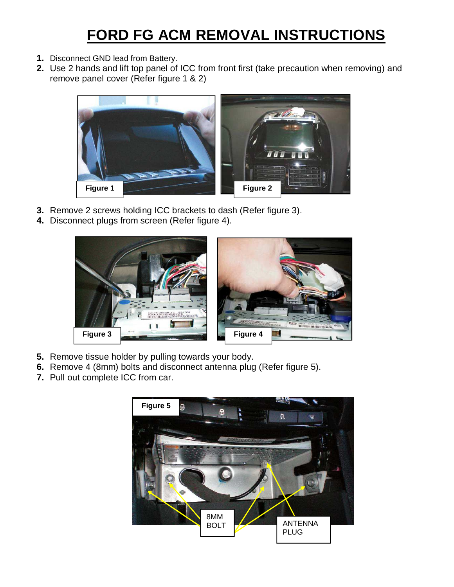## **FORD FG ACM REMOVAL INSTRUCTIONS**

- **1.** Disconnect GND lead from Battery.
- **2.** Use 2 hands and lift top panel of ICC from front first (take precaution when removing) and remove panel cover (Refer figure 1 & 2)



- **3.** Remove 2 screws holding ICC brackets to dash (Refer figure 3).
- **4.** Disconnect plugs from screen (Refer figure 4).



- **5.** Remove tissue holder by pulling towards your body.
- **6.** Remove 4 (8mm) bolts and disconnect antenna plug (Refer figure 5).
- **7.** Pull out complete ICC from car.

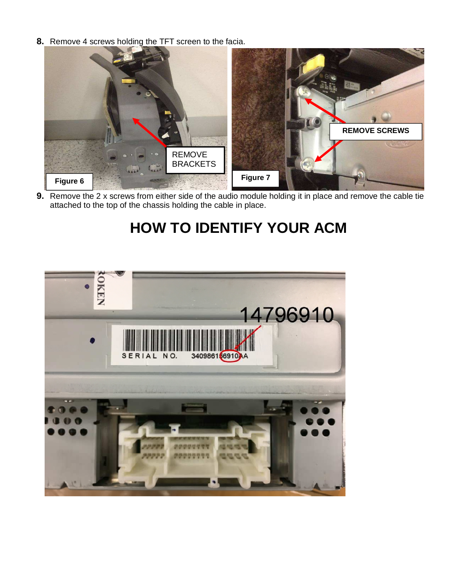**8.** Remove 4 screws holding the TFT screen to the facia.



**9.** Remove the 2 x screws from either side of the audio module holding it in place and remove the cable tie attached to the top of the chassis holding the cable in place.

## **HOW TO IDENTIFY YOUR ACM**